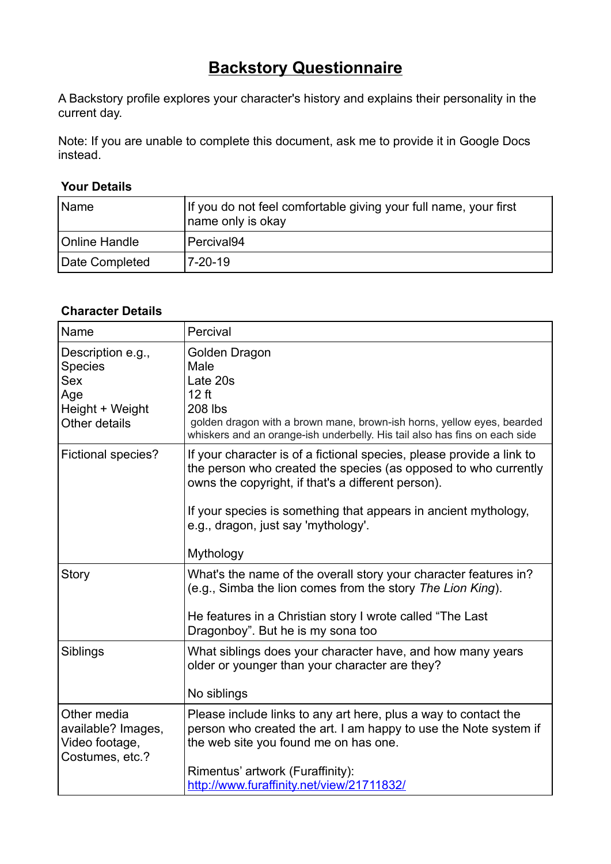## **Backstory Questionnaire**

A Backstory profile explores your character's history and explains their personality in the current day.

Note: If you are unable to complete this document, ask me to provide it in Google Docs instead.

## **Your Details**

| l Name               | If you do not feel comfortable giving your full name, your first<br>name only is okay |
|----------------------|---------------------------------------------------------------------------------------|
| <b>Online Handle</b> | Percival94                                                                            |
| Date Completed       | 7-20-19                                                                               |

## **Character Details**

| Name                                                                                         | Percival                                                                                                                                                                                                                                                                                                              |
|----------------------------------------------------------------------------------------------|-----------------------------------------------------------------------------------------------------------------------------------------------------------------------------------------------------------------------------------------------------------------------------------------------------------------------|
| Description e.g.,<br><b>Species</b><br><b>Sex</b><br>Age<br>Height + Weight<br>Other details | Golden Dragon<br>Male<br>Late 20s<br>12 ft<br><b>208 lbs</b><br>golden dragon with a brown mane, brown-ish horns, yellow eyes, bearded<br>whiskers and an orange-ish underbelly. His tail also has fins on each side                                                                                                  |
| <b>Fictional species?</b>                                                                    | If your character is of a fictional species, please provide a link to<br>the person who created the species (as opposed to who currently<br>owns the copyright, if that's a different person).<br>If your species is something that appears in ancient mythology,<br>e.g., dragon, just say 'mythology'.<br>Mythology |
| Story                                                                                        | What's the name of the overall story your character features in?<br>(e.g., Simba the lion comes from the story The Lion King).<br>He features in a Christian story I wrote called "The Last"<br>Dragonboy". But he is my sona too                                                                                     |
| Siblings                                                                                     | What siblings does your character have, and how many years<br>older or younger than your character are they?<br>No siblings                                                                                                                                                                                           |
| Other media<br>available? Images,<br>Video footage,<br>Costumes, etc.?                       | Please include links to any art here, plus a way to contact the<br>person who created the art. I am happy to use the Note system if<br>the web site you found me on has one.<br>Rimentus' artwork (Furaffinity):<br>http://www.furaffinity.net/view/21711832/                                                         |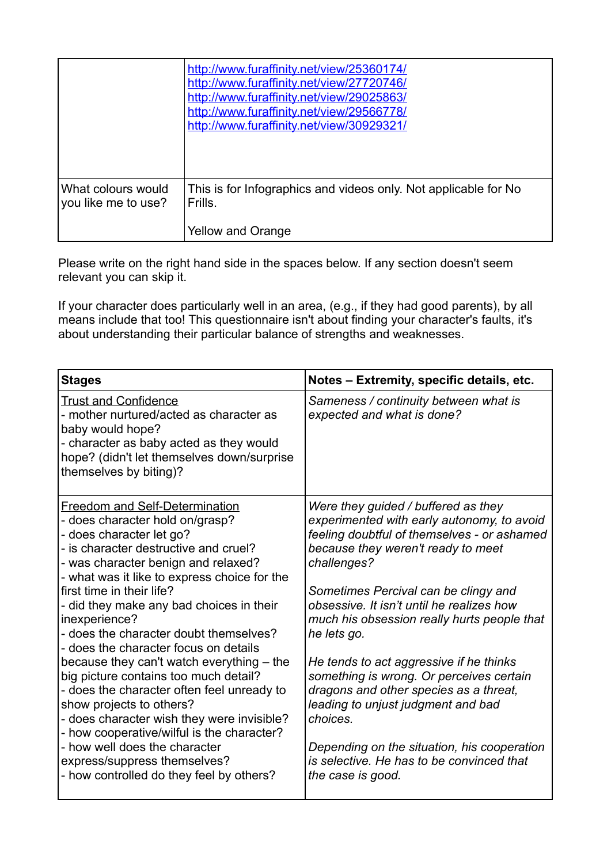|                                           | http://www.furaffinity.net/view/25360174/<br>http://www.furaffinity.net/view/27720746/<br>http://www.furaffinity.net/view/29025863/<br>http://www.furaffinity.net/view/29566778/<br>http://www.furaffinity.net/view/30929321/ |
|-------------------------------------------|-------------------------------------------------------------------------------------------------------------------------------------------------------------------------------------------------------------------------------|
| What colours would<br>you like me to use? | This is for Infographics and videos only. Not applicable for No<br>Frills.<br><b>Yellow and Orange</b>                                                                                                                        |

Please write on the right hand side in the spaces below. If any section doesn't seem relevant you can skip it.

If your character does particularly well in an area, (e.g., if they had good parents), by all means include that too! This questionnaire isn't about finding your character's faults, it's about understanding their particular balance of strengths and weaknesses.

| <b>Stages</b>                                                                                                                                                                                                                                                                                                                                                                                                                                                                                                                                                                                                                                                                                                                                                                       | Notes - Extremity, specific details, etc.                                                                                                                                                                                                                                                                                                                                                                                                                                                                                                                                                                                                    |
|-------------------------------------------------------------------------------------------------------------------------------------------------------------------------------------------------------------------------------------------------------------------------------------------------------------------------------------------------------------------------------------------------------------------------------------------------------------------------------------------------------------------------------------------------------------------------------------------------------------------------------------------------------------------------------------------------------------------------------------------------------------------------------------|----------------------------------------------------------------------------------------------------------------------------------------------------------------------------------------------------------------------------------------------------------------------------------------------------------------------------------------------------------------------------------------------------------------------------------------------------------------------------------------------------------------------------------------------------------------------------------------------------------------------------------------------|
| <b>Trust and Confidence</b><br>- mother nurtured/acted as character as<br>baby would hope?<br>- character as baby acted as they would<br>hope? (didn't let themselves down/surprise<br>themselves by biting)?                                                                                                                                                                                                                                                                                                                                                                                                                                                                                                                                                                       | Sameness / continuity between what is<br>expected and what is done?                                                                                                                                                                                                                                                                                                                                                                                                                                                                                                                                                                          |
| Freedom and Self-Determination<br>- does character hold on/grasp?<br>- does character let go?<br>- is character destructive and cruel?<br>- was character benign and relaxed?<br>- what was it like to express choice for the<br>first time in their life?<br>- did they make any bad choices in their<br>inexperience?<br>- does the character doubt themselves?<br>- does the character focus on details<br>because they can't watch everything – the<br>big picture contains too much detail?<br>- does the character often feel unready to<br>show projects to others?<br>- does character wish they were invisible?<br>- how cooperative/wilful is the character?<br>- how well does the character<br>express/suppress themselves?<br>- how controlled do they feel by others? | Were they guided / buffered as they<br>experimented with early autonomy, to avoid<br>feeling doubtful of themselves - or ashamed<br>because they weren't ready to meet<br>challenges?<br>Sometimes Percival can be clingy and<br>obsessive. It isn't until he realizes how<br>much his obsession really hurts people that<br>he lets go.<br>He tends to act aggressive if he thinks<br>something is wrong. Or perceives certain<br>dragons and other species as a threat,<br>leading to unjust judgment and bad<br>choices.<br>Depending on the situation, his cooperation<br>is selective. He has to be convinced that<br>the case is good. |
|                                                                                                                                                                                                                                                                                                                                                                                                                                                                                                                                                                                                                                                                                                                                                                                     |                                                                                                                                                                                                                                                                                                                                                                                                                                                                                                                                                                                                                                              |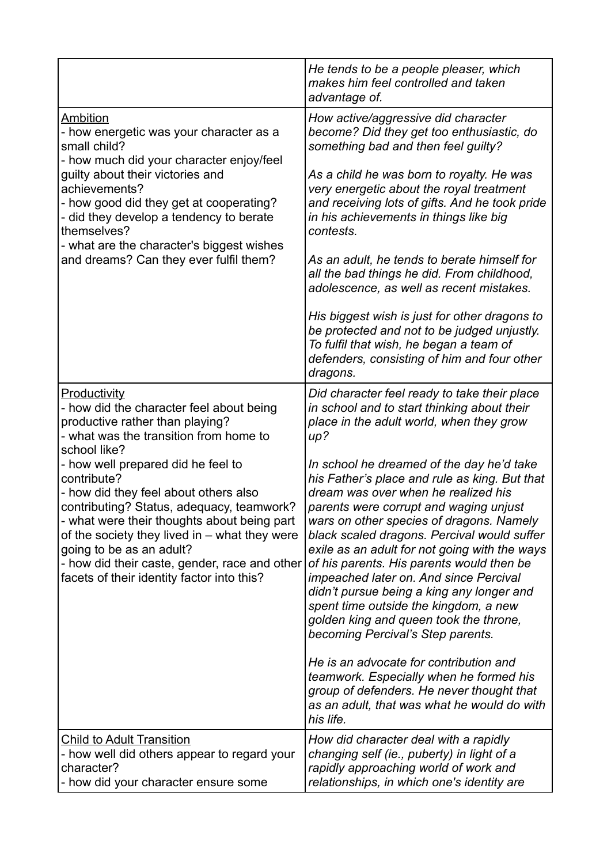|                                                                                                                                                                                                                                                                                                                                                                                                                                                                                                                               | He tends to be a people pleaser, which<br>makes him feel controlled and taken<br>advantage of.                                                                                                                                                                                                                                                                                                                                                                                                                                                                                                                                                                                                                                                                                                                                                                                                                                      |
|-------------------------------------------------------------------------------------------------------------------------------------------------------------------------------------------------------------------------------------------------------------------------------------------------------------------------------------------------------------------------------------------------------------------------------------------------------------------------------------------------------------------------------|-------------------------------------------------------------------------------------------------------------------------------------------------------------------------------------------------------------------------------------------------------------------------------------------------------------------------------------------------------------------------------------------------------------------------------------------------------------------------------------------------------------------------------------------------------------------------------------------------------------------------------------------------------------------------------------------------------------------------------------------------------------------------------------------------------------------------------------------------------------------------------------------------------------------------------------|
| Ambition<br>- how energetic was your character as a<br>small child?<br>- how much did your character enjoy/feel<br>guilty about their victories and<br>achievements?<br>- how good did they get at cooperating?<br>- did they develop a tendency to berate<br>themselves?<br>- what are the character's biggest wishes<br>and dreams? Can they ever fulfil them?                                                                                                                                                              | How active/aggressive did character<br>become? Did they get too enthusiastic, do<br>something bad and then feel guilty?<br>As a child he was born to royalty. He was<br>very energetic about the royal treatment<br>and receiving lots of gifts. And he took pride<br>in his achievements in things like big<br>contests.<br>As an adult, he tends to berate himself for<br>all the bad things he did. From childhood,<br>adolescence, as well as recent mistakes.<br>His biggest wish is just for other dragons to<br>be protected and not to be judged unjustly.<br>To fulfil that wish, he began a team of<br>defenders, consisting of him and four other<br>dragons.                                                                                                                                                                                                                                                            |
| Productivity<br>- how did the character feel about being<br>productive rather than playing?<br>- what was the transition from home to<br>school like?<br>- how well prepared did he feel to<br>contribute?<br>- how did they feel about others also<br>contributing? Status, adequacy, teamwork?<br>- what were their thoughts about being part<br>of the society they lived in $-$ what they were<br>going to be as an adult?<br>- how did their caste, gender, race and other<br>facets of their identity factor into this? | Did character feel ready to take their place<br>in school and to start thinking about their<br>place in the adult world, when they grow<br>up?<br>In school he dreamed of the day he'd take<br>his Father's place and rule as king. But that<br>dream was over when he realized his<br>parents were corrupt and waging unjust<br>wars on other species of dragons. Namely<br>black scaled dragons. Percival would suffer<br>exile as an adult for not going with the ways<br>of his parents. His parents would then be<br>impeached later on. And since Percival<br>didn't pursue being a king any longer and<br>spent time outside the kingdom, a new<br>golden king and queen took the throne,<br>becoming Percival's Step parents.<br>He is an advocate for contribution and<br>teamwork. Especially when he formed his<br>group of defenders. He never thought that<br>as an adult, that was what he would do with<br>his life. |
| <b>Child to Adult Transition</b><br>- how well did others appear to regard your<br>character?<br>- how did your character ensure some                                                                                                                                                                                                                                                                                                                                                                                         | How did character deal with a rapidly<br>changing self (ie., puberty) in light of a<br>rapidly approaching world of work and<br>relationships, in which one's identity are                                                                                                                                                                                                                                                                                                                                                                                                                                                                                                                                                                                                                                                                                                                                                          |